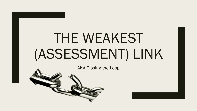# THE WEAKEST (ASSESSMENT) LINK

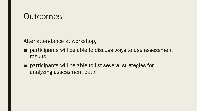### **Outcomes**

After attendance at workshop,

- participants will be able to discuss ways to use assessment results.
- participants will be able to list several strategies for analyzing assessment data.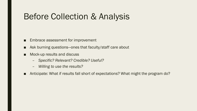### Before Collection & Analysis

- Embrace assessment for improvement
- Ask burning questions—ones that faculty/staff care about
- Mock-up results and discuss
	- *Specific? Relevant? Credible? Useful?*
	- *Willing to use the results?*
- Anticipate: What if results fall short of expectations? What might the program do?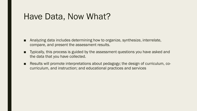### Have Data, Now What?

- Analyzing data includes determining how to organize, synthesize, interrelate, compare, and present the assessment results.
- Typically, this process is guided by the assessment questions you have asked and the data that you have collected.
- Results will promote interpretations about pedagogy; the design of curriculum, cocurriculum, and instruction; and educational practices and services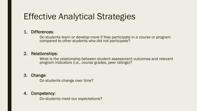### Effective Analytical Strategies

#### 1. Differences:

Do students learn or develop more if they participate in a course or program compared to other students who did not participate?

#### 2. Relationships:

What is the relationship between student assessment outcomes and relevant program indicators (i.e., course grades, peer ratings)?

#### 3. Change:

Do students change over time?

#### 4. Competency:

Do students meet our expectations?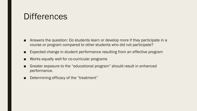### **Differences**

- Answers the question: Do students learn or develop more if they participate in a course or program compared to other students who did not participate?
- Expected change in student performance resulting from an effective program
- Works equally well for co-curricular programs
- Greater exposure to the "educational program" should result in enhanced performance.
- Determining efficacy of the "treatment"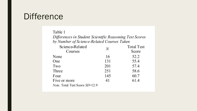### **Difference**

#### Table 1

Differences in Student Scientific Reasoning Test Scores by Number of Science-Related Courses Taken

| Science-Related                | N   | <b>Total Test</b> |
|--------------------------------|-----|-------------------|
| Courses                        |     | Score             |
| None                           | 16  | 52.2              |
| <b>One</b>                     | 131 | 55.4              |
| Two                            | 201 | 57.4              |
| Three                          | 251 | 58.6              |
| Four                           | 145 | 60.7              |
| Five or more                   | 41  | 61.4              |
| Note. Total Test Score SD=12.9 |     |                   |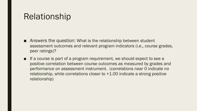### Relationship

- Answers the question: What is the relationship between student assessment outcomes and relevant program indicators (i.e., course grades, peer ratings)?
- If a course is part of a program requirement, we should expect to see a positive correlation between course outcomes as measured by grades and performance on assessment instrument. (correlations near 0 indicate no relationship, while correlations closer to +1.00 indicate a strong positive relationship)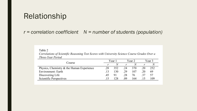### Relationship

#### *r = correlation coefficient N = number of students (population)*

#### Table 2

Correlations of Scientific Reasoning Test Scores with University Science Course Grades Over a Three-Year Period

|                                           |     | Year 1 |     | Year 2 |    | Year 3 |  |
|-------------------------------------------|-----|--------|-----|--------|----|--------|--|
| Course                                    |     | N      |     |        |    |        |  |
| Physics, Chemistry & the Human Experience | .28 | 352    | .24 | 370    | 20 | 252    |  |
| Environment: Earth                        | .13 | 130    | .29 | 107    | 20 | 69     |  |
| Discovering Life                          | .45 | 91     | .28 | 76     | 37 | 57     |  |
| Scientific Perspectives                   | .15 | 128    | .09 | 164    |    | 109    |  |
|                                           |     |        |     |        |    |        |  |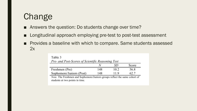## Change

- Answers the question: Do students change over time?
- Longitudinal approach employing pre-test to post-test assessment
- Provides a baseline with which to compare. Same students assessed 2x

|                          | N   | SD   | Score |
|--------------------------|-----|------|-------|
| Freshmen (Pre)           | 148 | 10.2 | 56.8  |
| Sophomore/Juniors (Post) | 148 | 11.9 | 62.7  |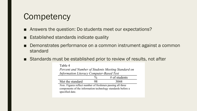### **Competency**

- Answers the question: Do students meet our expectations?
- Established standards indicate quality
- Demonstrates performance on a common instrument against a common standard
- Standards must be established prior to review of results, not after

| Table 4                                                                                                                                             |               |                 |  |  |
|-----------------------------------------------------------------------------------------------------------------------------------------------------|---------------|-----------------|--|--|
| Percent and Number of Students Meeting Standard on                                                                                                  |               |                 |  |  |
| <b>Information Literacy Computer-Based Test</b>                                                                                                     |               |                 |  |  |
|                                                                                                                                                     | $\frac{0}{6}$ | $#$ of students |  |  |
| Met the standard                                                                                                                                    | 98            | 3044            |  |  |
| <i>Note.</i> Figures reflect number of freshmen passing all three<br>components of the information technology standards before a<br>specified date. |               |                 |  |  |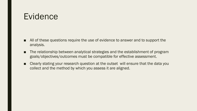### Evidence

- All of these questions require the use of evidence to answer and to support the analysis.
- The relationship between analytical strategies and the establishment of program goals/objectives/outcomes must be compatible for effective assessment.
- Clearly stating your research question at the outset will ensure that the data you collect and the method by which you assess it are aligned.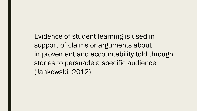Evidence of student learning is used in support of claims or arguments about improvement and accountability told through stories to persuade a specific audience (Jankowski, 2012)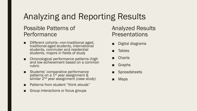## Analyzing and Reporting Results

#### Possible Patterns of **Performance**

- Different cohorts—non-traditional aged, traditional-aged students, international students, commuter and residential students, majors in fields of study
- Chronological performance patterns (high and low-achievement based on a common rubric
- Students' comparative performance patterns on a  $1<sup>st</sup>$  year assignment & similar 2<sup>nd</sup> year assignment (case study)
- **Patterns from student "think alouds"**
- Group interactions or focus groups

### Analyzed Results **Presentations**

- Digital diagrams
- Tables
- **Charts**
- Graphs
- **Spreadsheets**
- Maps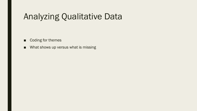### Analyzing Qualitative Data

- Coding for themes
- What shows up versus what is missing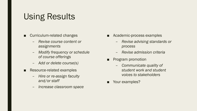### Using Results

- Curriculum-related changes
	- *Revise course content or assignments*
	- *Modify frequency or schedule of course offerings*
	- *Add or delete course(s)*
- Resource-related examples
	- *Hire or re-assign faculty and/or staff*
	- *Increase classroom space*
- Academic-process examples
	- *Revise advising standards or process*
	- *Revise admission criteria*
- Program promotion
	- *Communicate quality of student work and student voices to stakeholders*
- Your examples?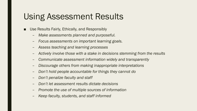### Using Assessment Results

- Use Results Fairly, Ethically, and Responsibly
	- *Make assessments planned and purposeful.*
	- *Focus assessments on important learning goals.*
	- *Assess teaching and learning processes*
	- *Actively involve those with a stake in decisions stemming from the results*
	- *Communicate assessment information widely and transparently*
	- *Discourage others from making inappropriate interpretations*
	- *Don't hold people accountable for things they cannot do*
	- *Don't penalize faculty and staff*
	- *Don't let assessment results dictate decisions*
	- *Promote the use of multiple sources of information*
	- *Keep faculty, students, and staff informed*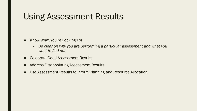### Using Assessment Results

- Know What You're Looking For
	- *Be clear on why you are performing a particular assessment and what you want to find out.*
- Celebrate Good Assessment Results
- Address Disappointing Assessment Results
- Use Assessment Results to Inform Planning and Resource Allocation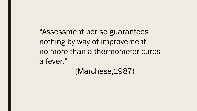"Assessment per se guarantees nothing by way of improvement no more than a thermometer cures a fever."

(Marchese,1987)